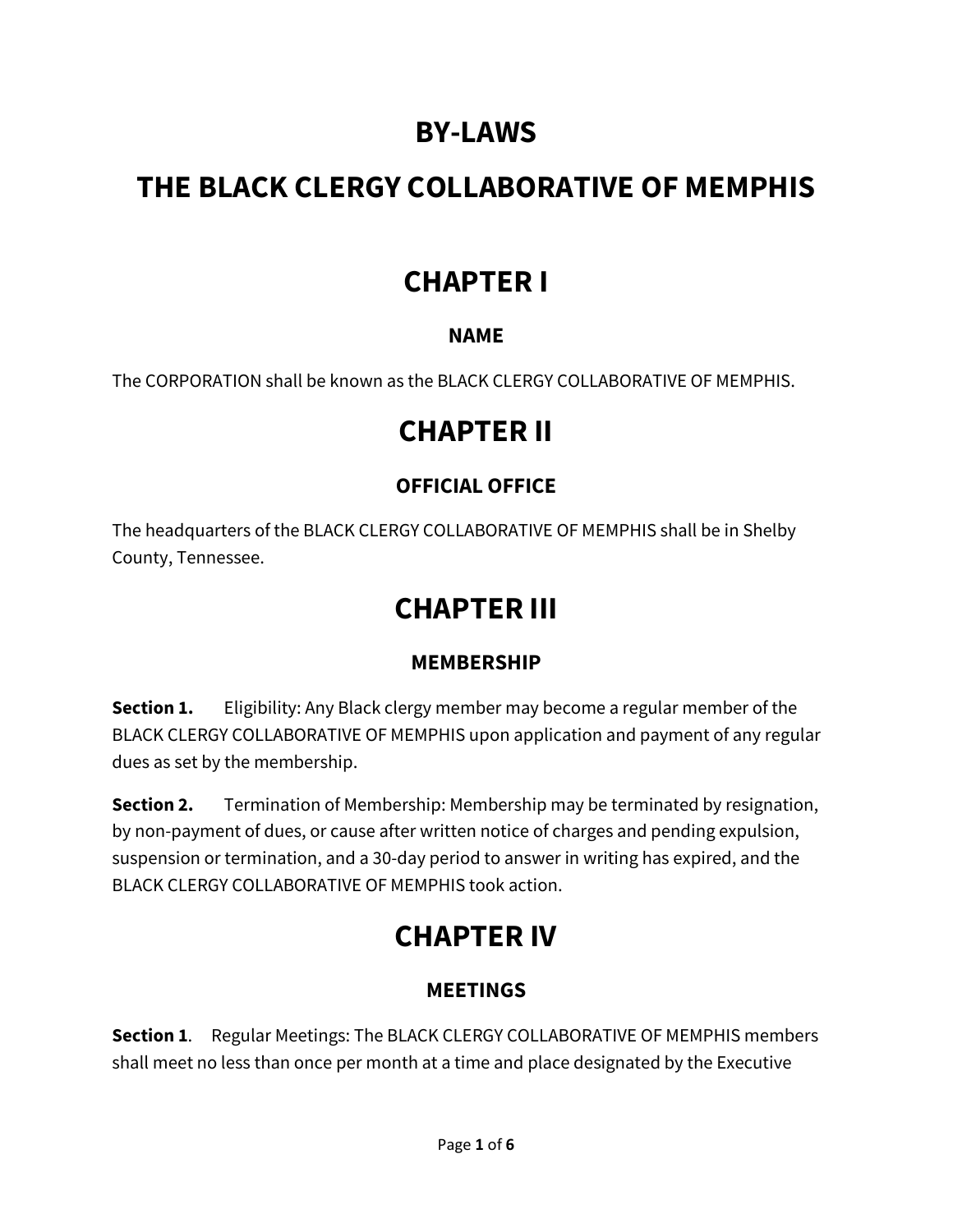## **BY-LAWS**

# **THE BLACK CLERGY COLLABORATIVE OF MEMPHIS**

### **CHAPTER I**

### **NAME**

The CORPORATION shall be known as the BLACK CLERGY COLLABORATIVE OF MEMPHIS.

### **CHAPTER II**

### **OFFICIAL OFFICE**

The headquarters of the BLACK CLERGY COLLABORATIVE OF MEMPHIS shall be in Shelby County, Tennessee.

# **CHAPTER III**

### **MEMBERSHIP**

**Section 1.** Eligibility: Any Black clergy member may become a regular member of the BLACK CLERGY COLLABORATIVE OF MEMPHIS upon application and payment of any regular dues as set by the membership.

**Section 2.** Termination of Membership: Membership may be terminated by resignation, by non-payment of dues, or cause after written notice of charges and pending expulsion, suspension or termination, and a 30-day period to answer in writing has expired, and the BLACK CLERGY COLLABORATIVE OF MEMPHIS took action.

# **CHAPTER IV**

### **MEETINGS**

**Section 1**. Regular Meetings: The BLACK CLERGY COLLABORATIVE OF MEMPHIS members shall meet no less than once per month at a time and place designated by the Executive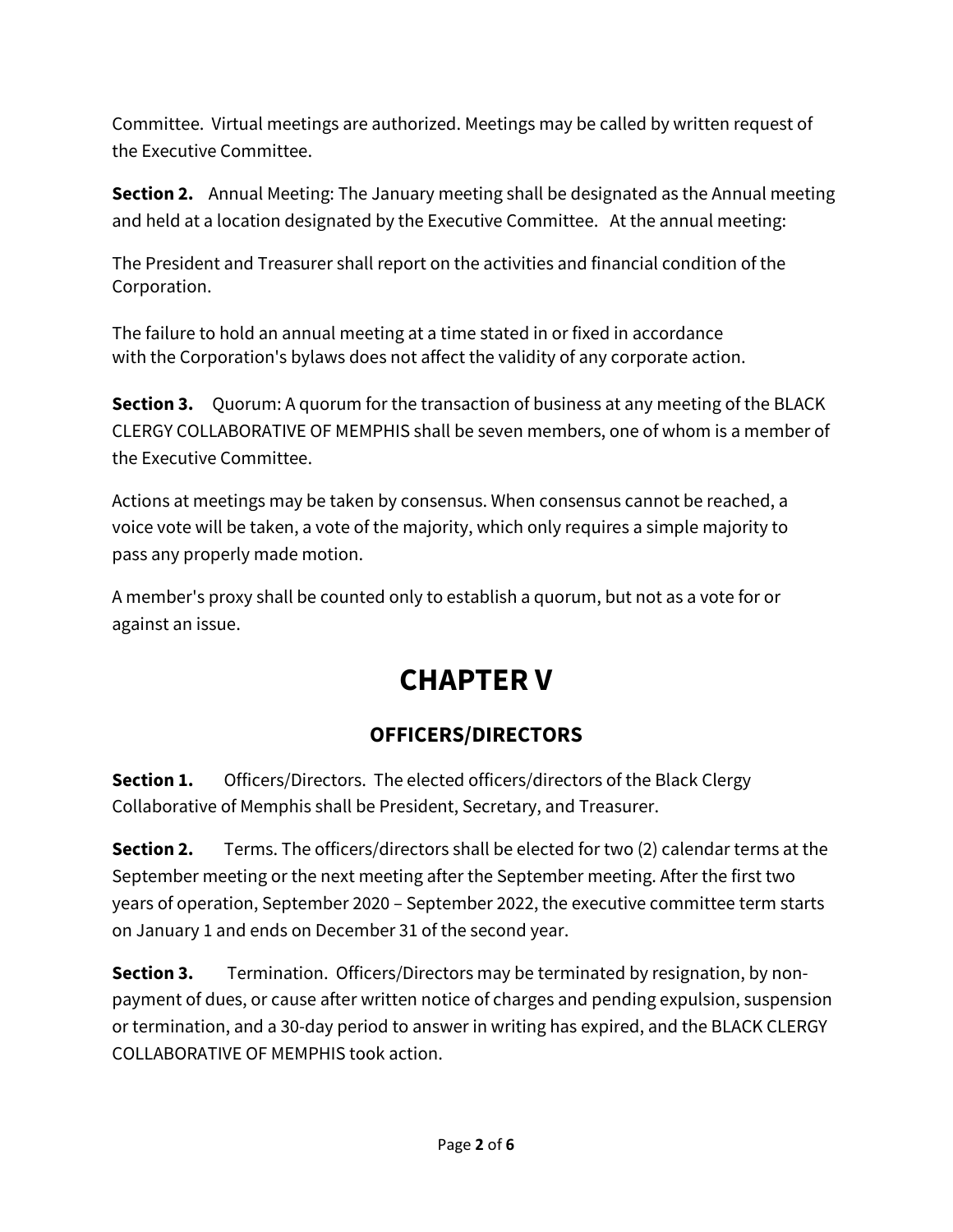Committee. Virtual meetings are authorized. Meetings may be called by written request of the Executive Committee.

**Section 2.** Annual Meeting: The January meeting shall be designated as the Annual meeting and held at a location designated by the Executive Committee. At the annual meeting:

The President and Treasurer shall report on the activities and financial condition of the Corporation.

The failure to hold an annual meeting at a time stated in or fixed in accordance with the Corporation's bylaws does not affect the validity of any corporate action.

**Section 3.** Quorum: A quorum for the transaction of business at any meeting of the BLACK CLERGY COLLABORATIVE OF MEMPHIS shall be seven members, one of whom is a member of the Executive Committee.

Actions at meetings may be taken by consensus. When consensus cannot be reached, a voice vote will be taken, a vote of the majority, which only requires a simple majority to pass any properly made motion.

A member's proxy shall be counted only to establish a quorum, but not as a vote for or against an issue.

# **CHAPTER V**

### **OFFICERS/DIRECTORS**

**Section 1.** Officers/Directors. The elected officers/directors of the Black Clergy Collaborative of Memphis shall be President, Secretary, and Treasurer.

**Section 2.** Terms. The officers/directors shall be elected for two (2) calendar terms at the September meeting or the next meeting after the September meeting. After the first two years of operation, September 2020 – September 2022, the executive committee term starts on January 1 and ends on December 31 of the second year.

**Section 3.** Termination. Officers/Directors may be terminated by resignation, by nonpayment of dues, or cause after written notice of charges and pending expulsion, suspension or termination, and a 30-day period to answer in writing has expired, and the BLACK CLERGY COLLABORATIVE OF MEMPHIS took action.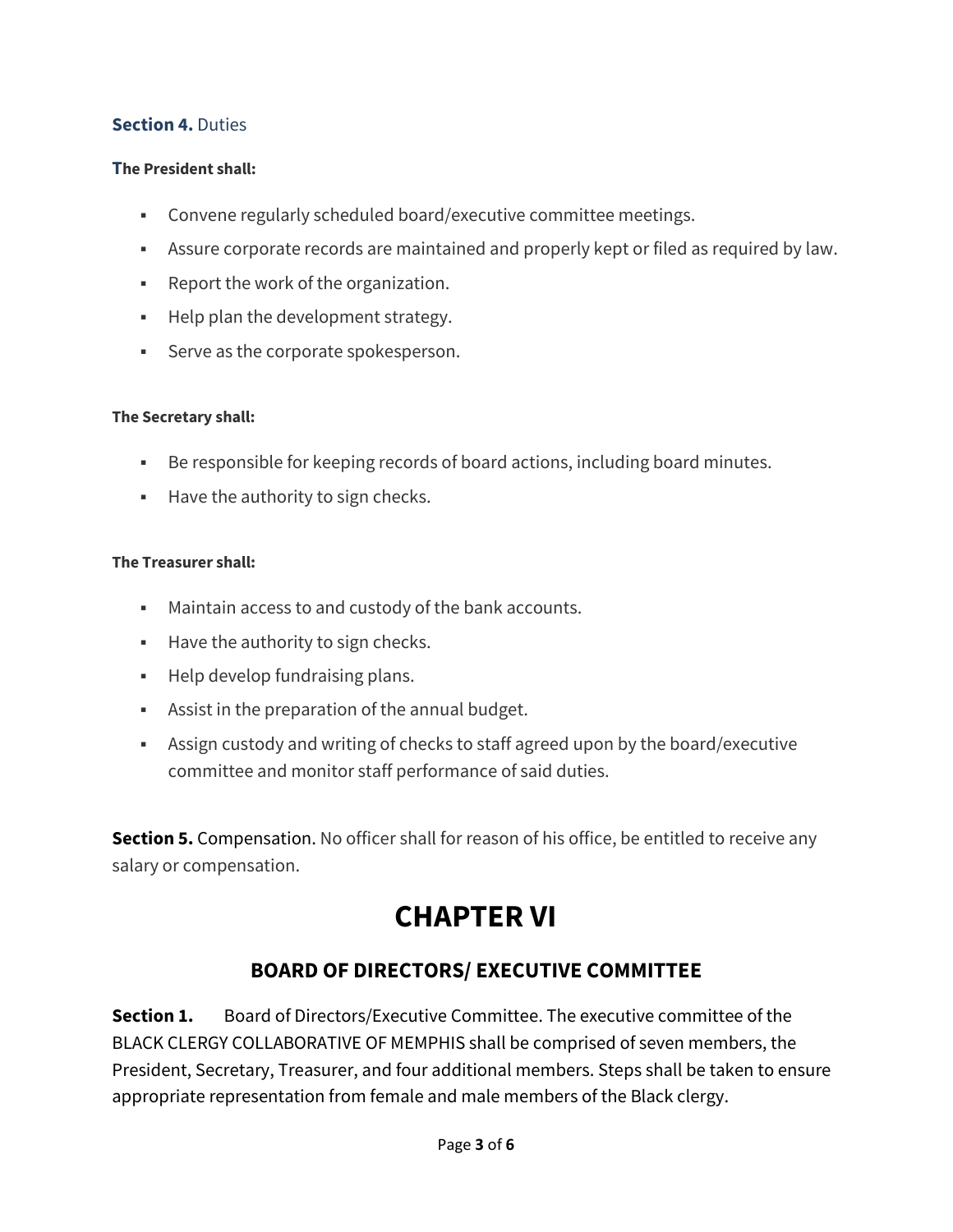#### **Section 4. Duties**

#### **The President shall:**

- Convene regularly scheduled board/executive committee meetings.
- Assure corporate records are maintained and properly kept or filed as required by law.
- Report the work of the organization.
- **Help plan the development strategy.**
- **Serve as the corporate spokesperson.**

#### **The Secretary shall:**

- Be responsible for keeping records of board actions, including board minutes.
- **Have the authority to sign checks.**

#### **The Treasurer shall:**

- Maintain access to and custody of the bank accounts.
- **Have the authority to sign checks.**
- **Help develop fundraising plans.**
- Assist in the preparation of the annual budget.
- Assign custody and writing of checks to staff agreed upon by the board/executive committee and monitor staff performance of said duties.

**Section 5.** Compensation. No officer shall for reason of his office, be entitled to receive any salary or compensation.

# **CHAPTER VI**

### **BOARD OF DIRECTORS/ EXECUTIVE COMMITTEE**

**Section 1.** Board of Directors/Executive Committee. The executive committee of the BLACK CLERGY COLLABORATIVE OF MEMPHIS shall be comprised of seven members, the President, Secretary, Treasurer, and four additional members. Steps shall be taken to ensure appropriate representation from female and male members of the Black clergy.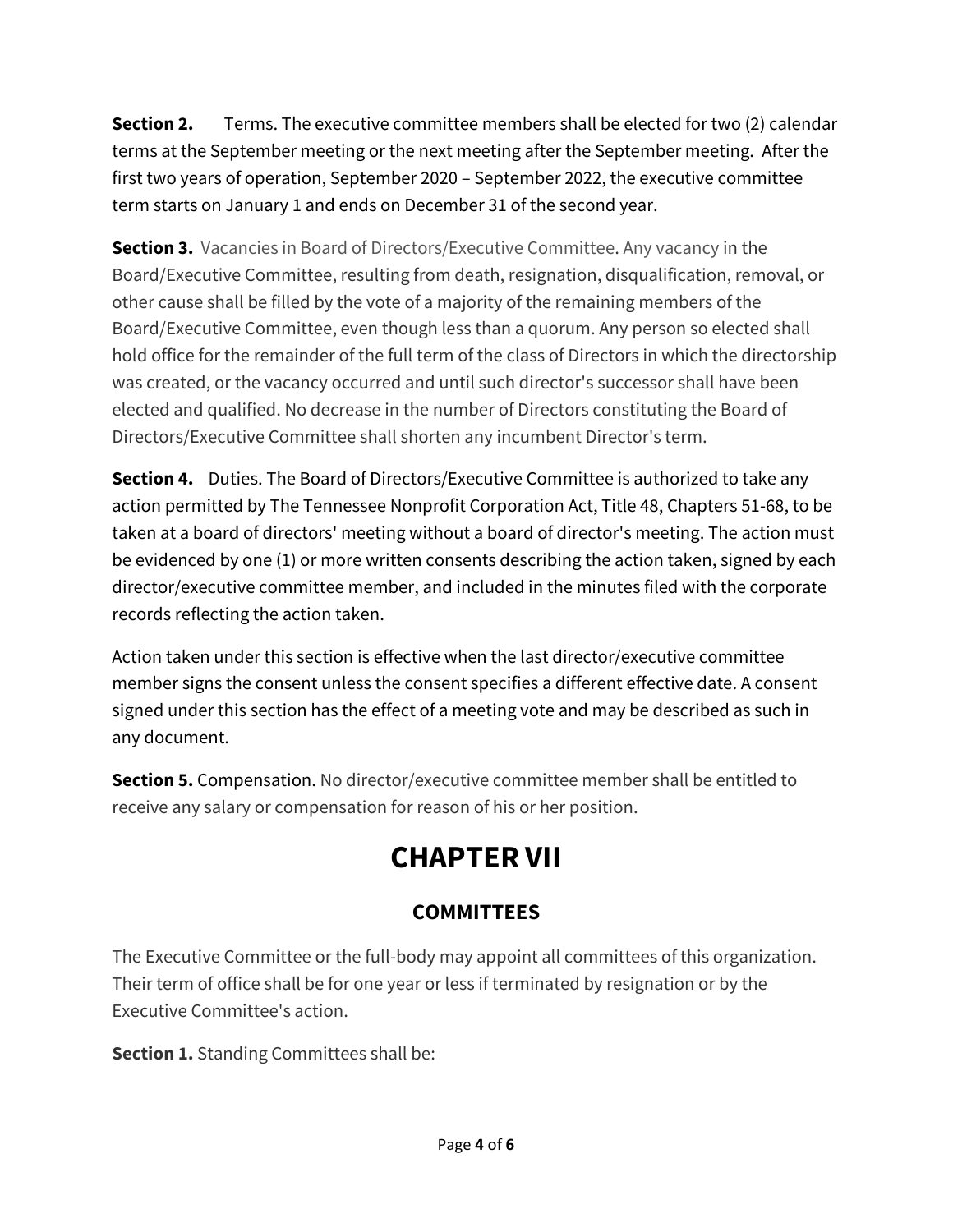**Section 2.** Terms. The executive committee members shall be elected for two (2) calendar terms at the September meeting or the next meeting after the September meeting. After the first two years of operation, September 2020 – September 2022, the executive committee term starts on January 1 and ends on December 31 of the second year.

**Section 3.** [Vacancies in Board of Directors/](https://www.lawinsider.com/clause/vacancies-in-board-of-directors)Executive Committee. [Any vacancy](https://www.lawinsider.com/clause/vacancies-in-board-of-directors) in the Board/Executive Committee, resulting from death, resignation, disqualification, removal, or other cause shall be filled by the vote of a majority of the remaining members of the Board/Executive Committee, even though less than a quorum. Any person so elected shall hold office for the remainder of the full term of the class of Directors in which the directorship was created, or the vacancy occurred and until such director's successor shall have been elected and qualified. No decrease in the number of Directors constituting the Board of Directors/Executive Committee shall shorten any incumbent Director's term.

**Section 4.** Duties. The Board of Directors/Executive Committee is authorized to take any action permitted by The Tennessee Nonprofit Corporation Act, Title 48, Chapters 51-68, to be taken at a board of directors' meeting without a board of director's meeting. The action must be evidenced by one (1) or more written consents describing the action taken, signed by each director/executive committee member, and included in the minutes filed with the corporate records reflecting the action taken.

Action taken under this section is effective when the last director/executive committee member signs the consent unless the consent specifies a different effective date. A consent signed under this section has the effect of a meeting vote and may be described as such in any document.

**Section 5.** Compensation. No director/executive committee member shall be entitled to receive any salary or compensation for reason of his or her position.

# **CHAPTER VII**

### **COMMITTEES**

The Executive Committee or the full-body may appoint all committees of this organization. Their term of office shall be for one year or less if terminated by resignation or by the Executive Committee's action.

**Section 1.** Standing Committees shall be: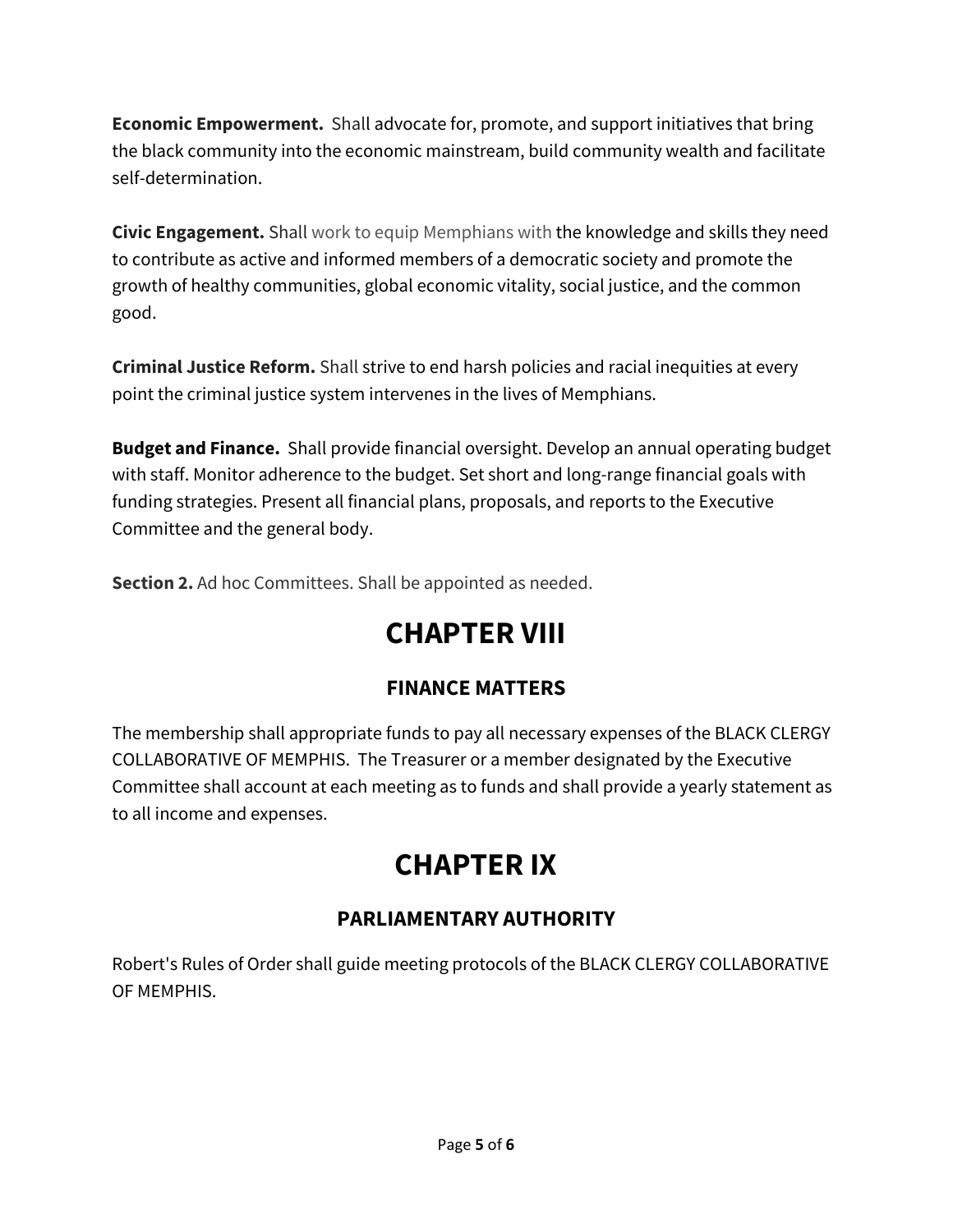**Economic Empowerment.** Shall advocate for, promote, and support initiatives that bring the black community into the economic mainstream, build community wealth and facilitate self-determination.

**Civic Engagement.** Shall work to equip Memphians with the knowledge and skills they need to contribute as active and informed members of a democratic society and promote the growth of healthy communities, global economic vitality, social justice, and the common good.

**Criminal Justice Reform.** Shall strive to end harsh policies and racial inequities at every point the criminal justice system intervenes in the lives of Memphians.

**Budget and Finance.** Shall provide financial oversight. Develop an annual operating budget with staff. Monitor adherence to the budget. Set short and long-range financial goals with funding strategies. Present all financial plans, proposals, and reports to the Executive Committee and the general body.

**Section 2.** Ad hoc Committees. Shall be appointed as needed.

# **CHAPTER VIII**

### **FINANCE MATTERS**

The membership shall appropriate funds to pay all necessary expenses of the BLACK CLERGY COLLABORATIVE OF MEMPHIS. The Treasurer or a member designated by the Executive Committee shall account at each meeting as to funds and shall provide a yearly statement as to all income and expenses.

# **CHAPTER IX**

### **PARLIAMENTARY AUTHORITY**

Robert's Rules of Order shall guide meeting protocols of the BLACK CLERGY COLLABORATIVE OF MEMPHIS.